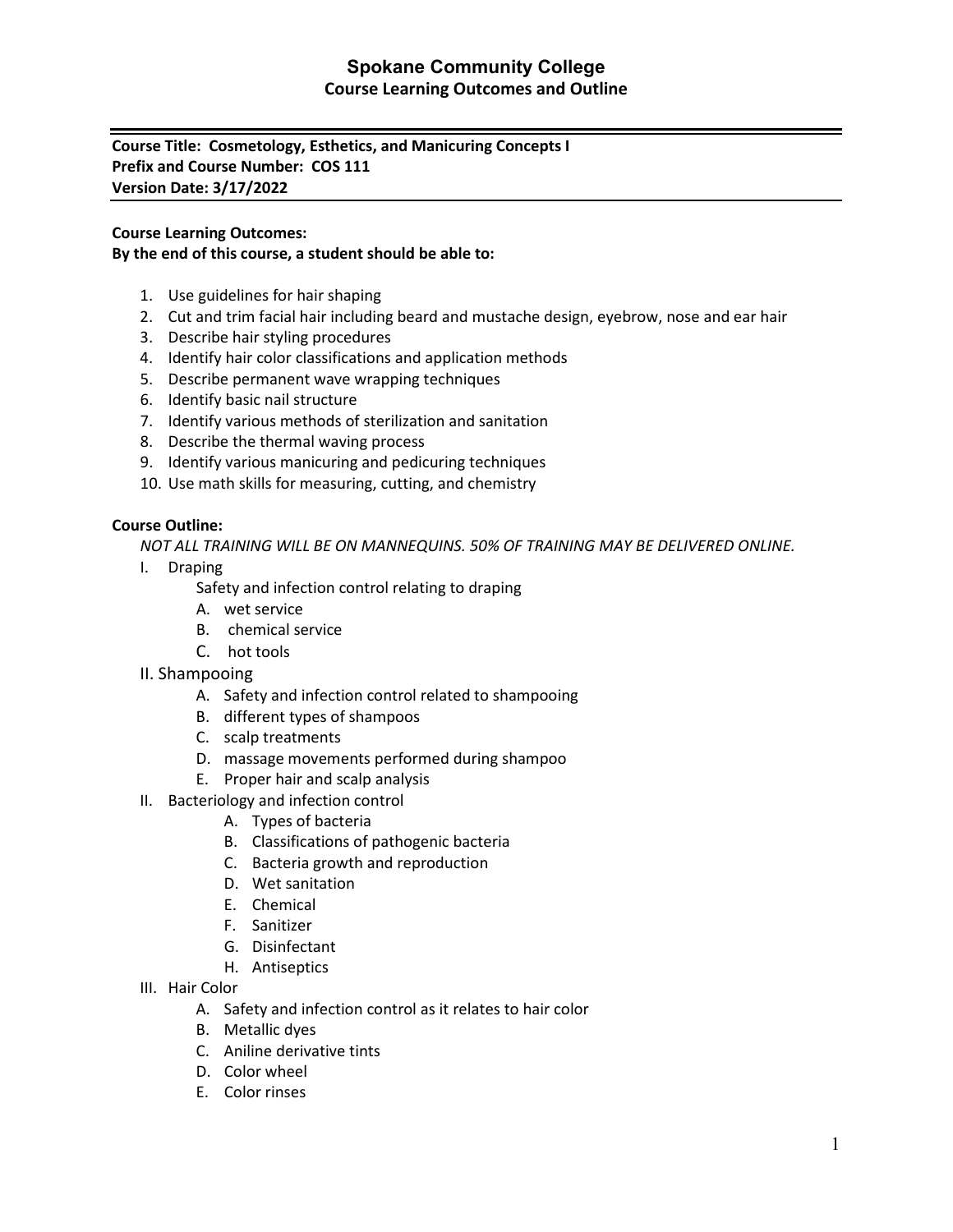# **Spokane Community College Course Learning Outcomes and Outline**

**Course Title: Cosmetology, Esthetics, and Manicuring Concepts I Prefix and Course Number: COS 111 Version Date: 3/17/2022**

### **Course Learning Outcomes:**

### **By the end of this course, a student should be able to:**

- 1. Use guidelines for hair shaping
- 2. Cut and trim facial hair including beard and mustache design, eyebrow, nose and ear hair
- 3. Describe hair styling procedures
- 4. Identify hair color classifications and application methods
- 5. Describe permanent wave wrapping techniques
- 6. Identify basic nail structure
- 7. Identify various methods of sterilization and sanitation
- 8. Describe the thermal waving process
- 9. Identify various manicuring and pedicuring techniques
- 10. Use math skills for measuring, cutting, and chemistry

### **Course Outline:**

*NOT ALL TRAINING WILL BE ON MANNEQUINS. 50% OF TRAINING MAY BE DELIVERED ONLINE.*

I. Draping

Safety and infection control relating to draping

- A. wet service
- B. chemical service
- C. hot tools
- II. Shampooing
	- A. Safety and infection control related to shampooing
	- B. different types of shampoos
	- C. scalp treatments
	- D. massage movements performed during shampoo
	- E. Proper hair and scalp analysis
- II. Bacteriology and infection control
	- A. Types of bacteria
	- B. Classifications of pathogenic bacteria
	- C. Bacteria growth and reproduction
	- D. Wet sanitation
	- E. Chemical
	- F. Sanitizer
	- G. Disinfectant
	- H. Antiseptics
- III. Hair Color
	- A. Safety and infection control as it relates to hair color
	- B. Metallic dyes
	- C. Aniline derivative tints
	- D. Color wheel
	- E. Color rinses